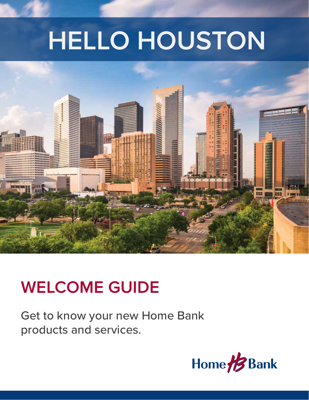# **HELLO HOUSTON**



## **WELCOME GUIDE**

Get to know your new Home Bank products and services.

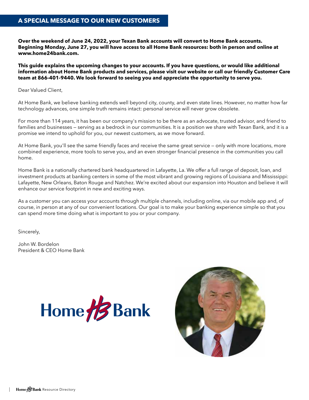#### **A SPECIAL MESSAGE TO OUR NEW CUSTOMERS**

**Over the weekend of June 24, 2022, your Texan Bank accounts will convert to Home Bank accounts. Beginning Monday, June 27, you will have access to all Home Bank resources: both in person and online at www.home24bank.com.** 

**This guide explains the upcoming changes to your accounts. If you have questions, or would like additional information about Home Bank products and services, please visit our website or call our friendly Customer Care team at 866-401-9440. We look forward to seeing you and appreciate the opportunity to serve you.**

Dear Valued Client,

At Home Bank, we believe banking extends well beyond city, county, and even state lines. However, no matter how far technology advances, one simple truth remains intact: personal service will never grow obsolete.

For more than 114 years, it has been our company's mission to be there as an advocate, trusted advisor, and friend to families and businesses – serving as a bedrock in our communities. It is a position we share with Texan Bank, and it is a promise we intend to uphold for you, our newest customers, as we move forward.

At Home Bank, you'll see the same friendly faces and receive the same great service — only with more locations, more combined experience, more tools to serve you, and an even stronger financial presence in the communities you call home.

Home Bank is a nationally chartered bank headquartered in Lafayette, La. We offer a full range of deposit, loan, and investment products at banking centers in some of the most vibrant and growing regions of Louisiana and Mississippi: Lafayette, New Orleans, Baton Rouge and Natchez. We're excited about our expansion into Houston and believe it will enhance our service footprint in new and exciting ways.

As a customer you can access your accounts through multiple channels, including online, via our mobile app and, of course, in person at any of our convenient locations. Our goal is to make your banking experience simple so that you can spend more time doing what is important to you or your company.

Sincerely,

John W. Bordelon President & CEO Home Bank



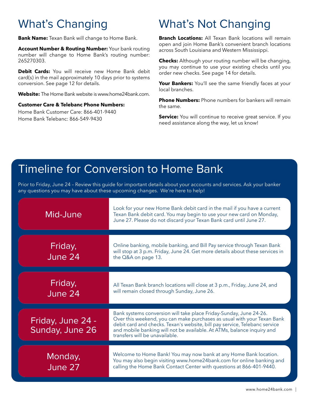## What's Changing

**Bank Name:** Texan Bank will change to Home Bank.

**Account Number & Routing Number:** Your bank routing number will change to Home Bank's routing number: 265270303.

**Debit Cards:** You will receive new Home Bank debit card(s) in the mail approximately 10 days prior to systems conversion. See page 12 for details.

**Website:** The Home Bank website is www.home24bank.com.

#### **Customer Care & Telebanc Phone Numbers:**

Home Bank Customer Care: 866-401-9440 Home Bank Telebanc: 866-549-9430

## What's Not Changing

**Branch Locations:** All Texan Bank locations will remain open and join Home Bank's convenient branch locations across South Louisiana and Western Mississippi.

**Checks:** Although your routing number will be changing, you may continue to use your existing checks until you order new checks. See page 14 for details.

Your Bankers: You'll see the same friendly faces at your local branches.

**Phone Numbers:** Phone numbers for bankers will remain the same.

**Service:** You will continue to receive great service. If you need assistance along the way, let us know!

## Timeline for Conversion to Home Bank

Prior to Friday, June 24 – Review this guide for important details about your accounts and services. Ask your banker any questions you may have about these upcoming changes. We're here to help!

| Mid-June                             | Look for your new Home Bank debit card in the mail if you have a current<br>Texan Bank debit card. You may begin to use your new card on Monday,<br>June 27. Please do not discard your Texan Bank card until June 27.                                                                                                                  |
|--------------------------------------|-----------------------------------------------------------------------------------------------------------------------------------------------------------------------------------------------------------------------------------------------------------------------------------------------------------------------------------------|
| Friday,<br>June 24                   | Online banking, mobile banking, and Bill Pay service through Texan Bank<br>will stop at 3 p.m. Friday, June 24. Get more details about these services in<br>the Q&A on page 13.                                                                                                                                                         |
| Friday,<br>June 24                   | All Texan Bank branch locations will close at 3 p.m., Friday, June 24, and<br>will remain closed through Sunday, June 26.                                                                                                                                                                                                               |
| Friday, June 24 -<br>Sunday, June 26 | Bank systems conversion will take place Friday-Sunday, June 24-26.<br>Over this weekend, you can make purchases as usual with your Texan Bank<br>debit card and checks. Texan's website, bill pay service, Telebanc service<br>and mobile banking will not be available. At ATMs, balance inquiry and<br>transfers will be unavailable. |
| Monday,<br>June 27                   | Welcome to Home Bank! You may now bank at any Home Bank location.<br>You may also begin visiting www.home24bank.com for online banking and<br>calling the Home Bank Contact Center with questions at 866-401-9440.                                                                                                                      |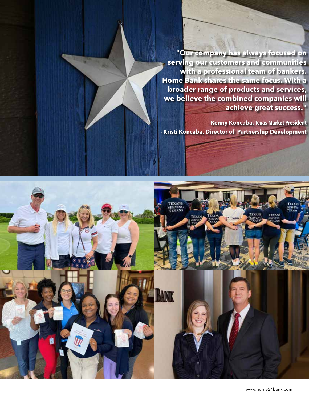**"Our company has always focused on serving our customers and communities with a professional team of bankers. Home Bank shares the same focus. With a broader range of products and services, we believe the combined companies will achieve great success."** 

**- Kenny Koncaba, Texas Market President - Kristi Koncaba, Director of Partnership Development**

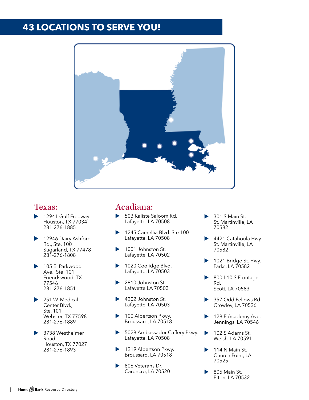## **43 LOCATIONS TO SERVE YOU!**



#### Texas:

- 12941 Gulf Freeway Houston, TX 77034 281-276-1885
- 12946 Dairy Ashford Rd., Ste. 100 Sugarland, TX 77478 281-276-1808
- 105 E. Parkwood Ave., Ste. 101 Friendswood, TX 77546 281-276-1851
- 251 W. Medical Center Blvd., Ste. 101 Webster, TX 77598 281-276-1889
- 3738 Westheimer Road Houston, TX 77027 281-276-1893

### Acadiana:

- 503 Kaliste Saloom Rd. Lafayette, LA 70508
- 1245 Camellia Blvd. Ste 100 Lafayette, LA 70508
- 1001 Johnston St. Lafayette, LA 70502
- 1020 Coolidge Blvd. Lafayette, LA 70503
- 2810 Johnston St. Lafayette LA 70503
- 4202 Johnston St. Lafayette, LA 70503
- 100 Albertson Pkwy. Broussard, LA 70518
- 5028 Ambassador Caffery Pkwy. Lafayette, LA 70508
- 1219 Albertson Pkwy. Broussard, LA 70518
- 806 Veterans Dr. Carencro, LA 70520
- 301 S Main St. St. Martinville, LA 70582
- 4421 Catahoula Hwy. St. Martinville, LA 70582
- 1021 Bridge St. Hwy. Parks, LA 70582
- 800 I-10 S Frontage Rd. Scott, LA 70583
- 357 Odd Fellows Rd. Crowley, LA 70526
- 128 E Academy Ave. Jennings, LA 70546
- 102 S Adams St. Welsh, LA 70591
- 114 N Main St. Church Point, LA 70525
- 805 Main St. Elton, LA 70532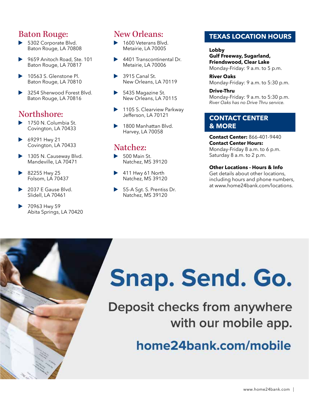## Baton Rouge:

- 5302 Corporate Blvd. Baton Rouge, LA 70808
- 9659 Anitoch Road, Ste. 101 Baton Rouge, LA 70817
- 10563 S. Glenstone Pl. Baton Rouge, LA 70810
- 3254 Sherwood Forest Blvd. Baton Rouge, LA 70816

## Northshore:

- 1750 N. Columbia St. Covington, LA 70433
- 69291 Hwy 21 Covington, LA 70433
- 1305 N. Causeway Blvd. Mandeville, LA 70471
- $\triangleright$  82255 Hwy 25 Folsom, LA 70437
- 2037 E Gause Blvd. Slidell, LA 70461
- 70963 Hwy 59 Abita Springs, LA 70420

## New Orleans:

- 1600 Veterans Blvd. Metairie, LA 70005
- 4401 Transcontinental Dr. Metairie, LA 70006
- $\blacktriangleright$  3915 Canal St. New Orleans, LA 70119
- 5435 Magazine St. New Orleans, LA 70115
- 1105 S. Clearview Parkway Jefferson, LA 70121
- 1800 Manhattan Blvd. Harvey, LA 70058

## Natchez:

- $\blacktriangleright$  500 Main St. Natchez, MS 39120
- $\blacktriangleright$  411 Hwy 61 North Natchez, MS 39120
- 55-A Sgt. S. Prentiss Dr. Natchez, MS 39120

#### **TEXAS LOCATION HOURS**

**Lobby Gulf Freeway, Sugarland, Friendswood, Clear Lake**  Monday-Friday: 9 a.m. to 5 p.m.

**River Oaks** Monday-Friday: 9 a.m. to 5:30 p.m.

#### **Drive-Thru**  Monday-Friday: 9 a.m. to 5:30 p.m. *River Oaks has no Drive Thru service.*

#### **CONTACT CENTER & MORE**

**Contact Center:** 866-401-9440 **Contact Center Hours:** Monday-Friday 8 a.m. to 6 p.m. Saturday 8 a.m. to 2 p.m.

#### **Other Locations - Hours & Info**

Get details about other locations, including hours and phone numbers, at www.home24bank.com/locations.

# Snap. Send. Go.

## Deposit checks from anywhere with our mobile app.

home24bank.com/mobile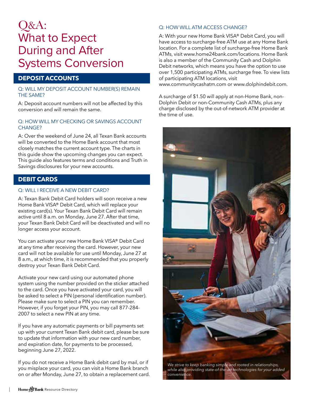## Q&A: What to Expect During and After Systems Conversion

#### **DEPOSIT ACCOUNTS**

#### Q: WILL MY DEPOSIT ACCOUNT NUMBER(S) REMAIN THE SAME?

A: Deposit account numbers will not be affected by this conversion and will remain the same.

#### Q: HOW WILL MY CHECKING OR SAVINGS ACCOUNT CHANGE?

A: Over the weekend of June 24, all Texan Bank accounts will be converted to the Home Bank account that most closely matches the current account type. The charts in this guide show the upcoming changes you can expect. This guide also features terms and conditions and Truth in Savings disclosures for your new accounts.

#### **DEBIT CARDS**

#### Q: WILL I RECEIVE A NEW DEBIT CARD?

A: Texan Bank Debit Card holders will soon receive a new Home Bank VISA® Debit Card, which will replace your existing card(s). Your Texan Bank Debit Card will remain active until 8 a.m. on Monday, June 27. After that time, your Texan Bank Debit Card will be deactivated and will no longer access your account.

You can activate your new Home Bank VISA® Debit Card at any time after receiving the card. However, your new card will not be available for use until Monday, June 27 at 8 a.m., at which time, it is recommended that you properly destroy your Texan Bank Debit Card.

Activate your new card using our automated phone system using the number provided on the sticker attached to the card. Once you have activated your card, you will be asked to select a PIN (personal identification number). Please make sure to select a PIN you can remember. However, if you forget your PIN, you may call 877-284- 2007 to select a new PIN at any time.

If you have any automatic payments or bill payments set up with your current Texan Bank debit card, please be sure to update that information with your new card number, and expiration date, for payments to be processed, beginning June 27, 2022.

If you do not receive a Home Bank debit card by mail, or if you misplace your card, you can visit a Home Bank branch on or after Monday, June 27, to obtain a replacement card.

#### Q: HOW WILL ATM ACCESS CHANGE?

A: With your new Home Bank VISA® Debit Card, you will have access to surcharge-free ATM use at any Home Bank location. For a complete list of surcharge-free Home Bank ATMs, visit www.home24bank.com/locations. Home Bank is also a member of the Community Cash and Dolphin Debit networks, which means you have the option to use over 1,500 participating ATMs, surcharge free. To view lists of participating ATM locations, visit

www.communitycashatm.com or www.dolphindebit.com.

A surcharge of \$1.50 will apply at non-Home Bank, non-Dolphin Debit or non-Community Cash ATMs, plus any charge disclosed by the out-of-network ATM provider at the time of use.



*We strive to keep banking simple and rooted in relationships, while also providing state-of-the-art technologies for your added convenience.*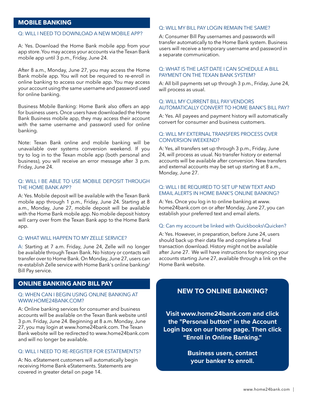#### **MOBILE BANKING**

#### Q: WILL I NEED TO DOWNLOAD A NEW MOBILE APP?

A: Yes. Download the Home Bank mobile app from your app store. You may access your accounts via the Texan Bank mobile app until 3 p.m., Friday, June 24.

After 8 a.m., Monday, June 27, you may access the Home Bank mobile app. You will not be required to re-enroll in online banking to access our mobile app. You may access your account using the same username and password used for online banking.

Business Mobile Banking: Home Bank also offers an app for business users. Once users have downloaded the Home Bank Business mobile app, they may access their account with the same username and password used for online banking.

Note: Texan Bank online and mobile banking will be unavailable over systems conversion weekend. If you try to log in to the Texan mobile app (both personal and business), you will receive an error message after 3 p.m. Friday, June 24.

#### Q: WILL I BE ABLE TO USE MOBILE DEPOSIT THROUGH THE HOME BANK APP?

A: Yes. Mobile deposit will be available with the Texan Bank mobile app through 1 p.m., Friday, June 24. Starting at 8 a.m., Monday, June 27, mobile deposit will be available with the Home Bank mobile app. No mobile deposit history will carry over from the Texan Bank app to the Home Bank app.

#### Q: WHAT WILL HAPPEN TO MY ZELLE SERVICE?

A: Starting at 7 a.m. Friday, June 24, Zelle will no longer be available through Texan Bank. No history or contacts will transfer over to Home Bank. On Monday, June 27, users can re-establish Zelle service with Home Bank's online banking/ Bill Pay service.

#### **ONLINE BANKING AND BILL PAY**

#### Q: WHEN CAN I BEGIN USING ONLINE BANKING AT WWW.HOME24BANK.COM?

A: Online banking services for consumer and business accounts will be available on the Texan Bank website until 3 p.m. Friday, June 24. Beginning at 8 a.m. Monday, June 27, you may login at www.home24bank.com. The Texan Bank website will be redirected to www.home24bank.com and will no longer be available.

#### Q: WILL I NEED TO RE-REGISTER FOR ESTATEMENTS?

A: No. eStatement customers will automatically begin receiving Home Bank eStatements. Statements are covered in greater detail on page 14.

#### Q: WILL MY BILL PAY LOGIN REMAIN THE SAME?

A: Consumer Bill Pay usernames and passwords will transfer automatically to the Home Bank system. Business users will receive a temporary username and password in a separate communication.

#### Q: WHAT IS THE LAST DATE I CAN SCHEDULE A BILL PAYMENT ON THE TEXAN BANK SYSTEM?

A: All bill payments set up through 3 p.m., Friday, June 24, will process as usual.

#### Q: WILL MY CURRENT BILL PAY VENDORS AUTOMATICALLY CONVERT TO HOME BANK'S BILL PAY?

A: Yes. All payees and payment history will automatically convert for consumer and business customers.

#### Q: WILL MY EXTERNAL TRANSFERS PROCESS OVER CONVERSION WEEKEND?

A: Yes, all transfers set up through 3 p.m., Friday, June 24, will process as usual. No transfer history or external accounts will be available after conversion. New transfers and external accounts may be set up starting at 8 a.m., Monday, June 27.

#### Q: WILL I BE REQUIRED TO SET UP NEW TEXT AND EMAIL ALERTS IN HOME BANK'S ONLINE BANKING?

A: Yes. Once you log in to online banking at www. home24bank.com on or after Monday, June 27, you can establish your preferred text and email alerts.

#### Q: Can my account be linked with Quickbooks\Quicken?

A: Yes. However, in preparation, before June 24, users should back up their data file and complete a final transaction download. History might not be available after June 27. We will have instructions for resyncing your accounts starting June 27, available through a link on the Home Bank website.

#### **NEW TO ONLINE BANKING?**

**Visit www.home24bank.com and click the "Personal button" in the Account Login box on our home page. Then click "Enroll in Online Banking."** 

> **Business users, contact your banker to enroll.**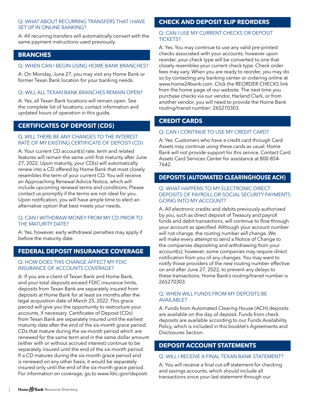#### Q: WHAT ABOUT RECURRING TRANSFERS THAT I HAVE SET UP IN ONLINE BANKING?

A: All recurring transfers will automatically convert with the same payment instructions used previously.

#### **BRANCHES**

#### Q: WHEN CAN I BEGIN USING HOME BANK BRANCHES?

A: On Monday, June 27, you may visit any Home Bank or former Texan Bank location for your banking needs.

#### Q: WILL ALL TEXAN BANK BRANCHES REMAIN OPEN?

A: Yes, all Texan Bank locations will remain open. See the complete list of locations, contact information and updated hours of operation in this guide.

#### **CERTIFICATES OF DEPOSIT (CDS)**

#### Q. WILL THERE BE ANY CHANGES TO THE INTEREST RATE OF MY EXISTING CERTIFICATE OF DEPOSIT (CD)

A: Your current CD account(s) rate, term and related features will remain the same until first maturity after June 27, 2022. Upon maturity, your CD(s) will automatically renew into a CD offered by Home Bank that most closely resembles the term of your current CD. You will receive an Approaching Renewal Advice Notice, which will include upcoming renewal terms and conditions. Please contact us promptly if the terms are not ideal for you. Upon notification, you will have ample time to elect an alternative option that best meets your needs.

#### Q: CAN I WITHDRAW MONEY FROM MY CD PRIOR TO THE MATURITY DATE?

A: Yes, however, early withdrawal penalties may apply if before the maturity date.

#### **FEDERAL DEPOSIT INSURANCE COVERAGE**

#### Q: HOW DOES THIS CHANGE AFFECT MY FDIC INSURANCE OF ACCOUNTS COVERAGE?

A: If you are a client of Texan Bank and Home Bank, and your total deposits exceed FDIC insurance limits, deposits from Texan Bank are separately insured from deposits at Home Bank for at least six months after the legal acquisition date of March 25, 2022. This grace period will give you the opportunity to restructure your accounts, if necessary. Certificates of Deposit (CDs) from Texan Bank are separately insured until the earliest maturity date after the end of the six-month grace period. CDs that mature during the six-month period which are renewed for the same term and in the same dollar amount (either with or without accrued interest) continue to be separately insured until the end of the six-month period. If a CD matures during the six-month grace period and is renewed on any other basis, it would be separately insured only until the end of the six-month grace period. For information on coverage, go to www.fdic.gov/deposit.

#### **CHECK AND DEPOSIT SLIP REORDERS**

#### Q: CAN I USE MY CURRENT CHECKS OR DEPOSIT TICKETS?

A: Yes. You may continue to use any valid pre-printed checks associated with your accounts; however upon reorder, your check type will be converted to one that closely resembles your current check type. Check order fees may vary. When you are ready to reorder, you may do so by contacting any banking center or ordering online at www.home24bank.com. Click the REORDER CHECKS link from the home page of our website. The next time you purchase checks via our vendor, Harland Clark, or from another vendor, you will need to provide the Home Bank routing/transit number: 265270303.

#### **CREDIT CARDS**

#### Q: CAN I CONTINUE TO USE MY CREDIT CARD?

A: Yes. Customers who have a credit card through Card Assets may continue using these cards as usual. Home Bank will not provide support for this service. Contact Card Assets Card Services Center for assistance at 800-854- 7642.

#### **DEPOSITS (AUTOMATED CLEARINGHOUSE ACH)**

#### Q: WHAT HAPPENS TO MY ELECTRONIC DIRECT DEPOSITS OF PAYROLL OR SOCIAL SECURITY PAYMENTS GOING INTO MY ACCOUNT?

A: All electronic credits and debits previously authorized by you, such as direct deposit of Treasury and payroll funds and debit transactions, will continue to flow through your account as specified. Although your account number will not change, the routing number will change. We will make every attempt to send a Notice of Change to the companies depositing and withdrawing from your account(s); however, some companies may require direct notification from you of any changes. You may want to notify those providers of the new routing number effective on and after June 27, 2022, to prevent any delays to these transactions. Home Bank's routing/transit number is 265270303.

#### Q: WHEN WILL FUNDS FROM MY DEPOSITS BE AVAILABLE?

A: Funds from Automated Clearing House (ACH) deposits are available on the day of deposit. Funds from check deposits are available according to our Funds Availability Policy, which is included in this booklet's Agreements and Disclosures Section.

#### **DEPOSIT ACCOUNT STATEMENTS**

#### Q: WILL I RECEIVE A FINAL TEXAN BANK STATEMENT?

A: You will receive a final cut-off statement for checking and savings accounts, which should include all transactions since your last statement through our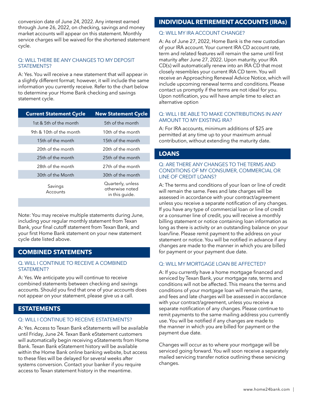conversion date of June 24, 2022. Any interest earned through June 26, 2022, on checking, savings and money market accounts will appear on this statement. Monthly service charges will be waived for the shortened statement cycle.

#### Q: WILL THERE BE ANY CHANGES TO MY DEPOSIT STATEMENTS?

A: Yes. You will receive a new statement that will appear in a slightly different format; however, it will include the same information you currently receive. Refer to the chart below to determine your Home Bank checking and savings statement cycle.

| <b>Current Statement Cycle</b> | <b>New Statement Cycle</b>                             |
|--------------------------------|--------------------------------------------------------|
| 1st & 5th of the month         | 5th of the month                                       |
| 9th & 10th of the month        | 10th of the month                                      |
| 15th of the month              | 15th of the month                                      |
| 20th of the month              | 20th of the month                                      |
| 25th of the month              | 25th of the month                                      |
| 28th of the month              | 27th of the month                                      |
| 30th of the Month              | 30th of the month                                      |
| Savings<br>Accounts            | Quarterly, unless<br>otherwise noted<br>in this quide. |

Note: You may receive multiple statements during June, including your regular monthly statement from Texan Bank, your final cutoff statement from Texan Bank, and your first Home Bank statement on your new statement cycle date listed above.

#### **COMBINED STATEMENTS**

#### Q. WILL I CONTINUE TO RECEIVE A COMBINED STATEMENT?

A: Yes. We anticipate you will continue to receive combined statements between checking and savings accounts. Should you find that one of your accounts does not appear on your statement, please give us a call.

#### **ESTATEMENTS**

#### Q: WILL I CONTINUE TO RECEIVE ESTATEMENTS?

A: Yes. Access to Texan Bank eStatements will be available until Friday, June 24. Texan Bank eStatement customers will automatically begin receiving eStatements from Home Bank. Texan Bank eStatement history will be available within the Home Bank online banking website, but access to these files will be delayed for several weeks after systems conversion. Contact your banker if you require access to Texan statement history in the meantime.

#### **INDIVIDUAL RETIREMENT ACCOUNTS (IRAs)**

#### Q: WILL MY IRA ACCOUNT CHANGE?

A: As of June 27, 2022, Home Bank is the new custodian of your IRA account. Your current IRA CD account rate, term and related features will remain the same until first maturity after June 27, 2022. Upon maturity, your IRA CD(s) will automatically renew into an IRA CD that most closely resembles your current IRA CD term. You will receive an Approaching Renewal Advice Notice, which will include upcoming renewal terms and conditions. Please contact us promptly if the terms are not ideal for you. Upon notification, you will have ample time to elect an alternative option

#### Q: WILL I BE ABLE TO MAKE CONTRIBUTIONS IN ANY AMOUNT TO MY EXISTING IRA?

A: For IRA accounts, minimum additions of \$25 are permitted at any time up to your maximum annual contribution, without extending the maturity date.

#### **LOANS**

#### Q: ARE THERE ANY CHANGES TO THE TERMS AND CONDITIONS OF MY CONSUMER, COMMERCIAL OR LINE OF CREDIT LOANS?

A: The terms and conditions of your loan or line of credit will remain the same. Fees and late charges will be assessed in accordance with your contract/agreement unless you receive a separate notification of any changes. If you have any type of commercial loan or line of credit or a consumer line of credit, you will receive a monthly billing statement or notice containing loan information as long as there is activity or an outstanding balance on your loan/line. Please remit payment to the address on your statement or notice. You will be notified in advance if any changes are made to the manner in which you are billed for payment or your payment due date.

#### Q: WILL MY MORTGAGE LOAN BE AFFECTED?

A: If you currently have a home mortgage financed and serviced by Texan Bank, your mortgage rate, terms and conditions will not be affected. This means the terms and conditions of your mortgage loan will remain the same, and fees and late charges will be assessed in accordance with your contract/agreement, unless you receive a separate notification of any changes. Please continue to remit payments to the same mailing address you currently use. You will be notified if any changes are made to the manner in which you are billed for payment or the payment due date.

Changes will occur as to where your mortgage will be serviced going forward. You will soon receive a separately mailed servicing transfer notice outlining these servicing changes.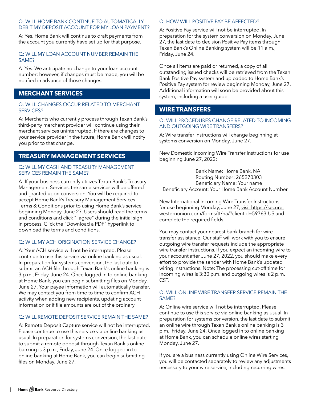#### Q: WILL HOME BANK CONTINUE TO AUTOMATICALLY DEBIT MY DEPOSIT ACCOUNT FOR MY LOAN PAYMENT?

A: Yes. Home Bank will continue to draft payments from the account you currently have set up for that purpose.

#### Q: WILL MY LOAN ACCOUNT NUMBER REMAIN THE SAME?

A: Yes. We anticipate no change to your loan account number; however, if changes must be made, you will be notified in advance of those changes.

#### **MERCHANT SERVICES**

#### Q: WILL CHANGES OCCUR RELATED TO MERCHANT SERVICES?

A: Merchants who currently process through Texan Bank's third-party merchant provider will continue using their merchant services uninterrupted. If there are changes to your service provider in the future, Home Bank will notify you prior to that change.

#### **TREASURY MANAGEMENT SERVICES**

#### Q: WILL MY CASH AND TREASURY MANAGEMENT SERVICES REMAIN THE SAME?

A: If your business currently utilizes Texan Bank's Treasury Management Services, the same services will be offered and granted upon conversion. You will be required to accept Home Bank's Treasury Management Services Terms & Conditions prior to using Home Bank's service beginning Monday, June 27. Users should read the terms and conditions and click "I agree" during the initial sign in process. Click the "Download a PDF" hyperlink to download the terms and conditions.

#### Q: WILL MY ACH ORIGINATION SERVICE CHANGE?

A: Your ACH service will not be interrupted. Please continue to use this service via online banking as usual. In preparation for systems conversion, the last date to submit an ACH file through Texan Bank's online banking is 3 p.m., Friday, June 24. Once logged in to online banking at Home Bank, you can begin submitting files on Monday, June 27. Your payee information will automatically transfer. We may contact you from time to time to confirm ACH activity when adding new recipients, updating account information or if file amounts are out of the ordinary.

#### Q: WILL REMOTE DEPOSIT SERVICE REMAIN THE SAME?

A: Remote Deposit Capture service will not be interrupted. Please continue to use this service via online banking as usual. In preparation for systems conversion, the last date to submit a remote deposit through Texan Bank's online banking is 3 p.m., Friday, June 24. Once logged in to online banking at Home Bank, you can begin submitting files on Monday, June 27.

#### Q: HOW WILL POSITIVE PAY BE AFFECTED?

A: Positive Pay service will not be interrupted. In preparation for the system conversion on Monday, June 27, the last date to decision Positive Pay items through Texan Bank's Online Banking system will be 11 a.m., Friday, June 24.

Once all items are paid or returned, a copy of all outstanding issued checks will be retrieved from the Texan Bank Positive Pay system and uploaded to Home Bank's Positive Pay system for review beginning Monday, June 27. Additional information will soon be provided about this system, including a user guide.

#### **WIRE TRANSFERS**

#### Q: WILL PROCEDURES CHANGE RELATED TO INCOMING AND OUTGOING WIRE TRANSFERS?

A: Wire transfer instructions will change beginning at systems conversion on Monday, June 27.

*compatible with*  New Domestic Incoming Wire Transfer Instructions for use *Mobile Wallet services such as Apple Pay©, Samsung Pay© and Android Pay©.*  beginning June 27, 2022:

Bank Name: Home Bank, NA Routing Number: 265270303 Beneficiary Name: Your name Beneficiary Account: Your Home Bank Account Number

New International Incoming Wire Transfer Instructions for use beginning Monday, June 27, visit https://secure. westernunion.com/forms/tt/na/?clientid=59763-US and complete the required fields.

You may contact your nearest bank branch for wire transfer assistance. Our staff will work with you to ensure outgoing wire transfer requests include the appropriate wire transfer instructions. If you expect an incoming wire to your account after June 27, 2022, you should make every effort to provide the sender with Home Bank's updated wiring instructions. Note: The processing cut-off time for incoming wires is 3:30 p.m. and outgoing wires is 2 p.m. CST.

#### Q: WILL ONLINE WIRE TRANSFER SERVICE REMAIN THE SAME?

A: Online wire service will not be interrupted. Please continue to use this service via online banking as usual. In preparation for systems conversion, the last date to submit an online wire through Texan Bank's online banking is 3 p.m., Friday, June 24. Once logged in to online banking at Home Bank, you can schedule online wires starting Monday, June 27.

If you are a business currently using Online Wire Services, you will be contacted separately to review any adjustments necessary to your wire service, including recurring wires.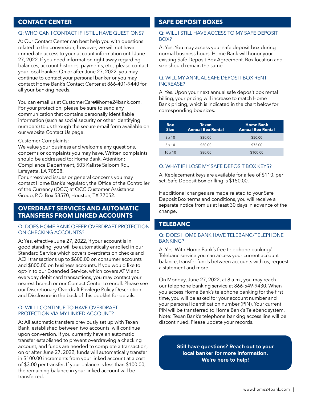#### **CONTACT CENTER**

#### Q: WHO CAN I CONTACT IF I STILL HAVE QUESTIONS?

A: Our Contact Center can best help you with questions related to the conversion; however, we will not have immediate access to your account information until June 27, 2022. If you need information right away regarding balances, account histories, payments, etc., please contact your local banker. On or after June 27, 2022, you may continue to contact your personal banker or you may contact Home Bank's Contact Center at 866-401-9440 for all your banking needs.

You can email us at CustomerCare@home24bank.com. For your protection, please be sure to send any communication that contains personally identifiable information (such as social security or other identifying numbers) to us through the secure email form available on our website Contact Us page.

#### Customer Complaints:

We value your business and welcome any questions, concerns or complaints you may have. Written complaints should be addressed to: Home Bank, Attention: Compliance Department, 503 Kaliste Saloom Rd., Lafayette, LA 70508.

For unresolved issues or general concerns you may contact Home Bank's regulator, the Office of the Controller of the Currency (OCC) at OCC Customer Assistance Group, P.O. Box 53570, Houston, TX 77052.

#### **OVERDRAFT SERVICES AND AUTOMATIC TRANSFERS FROM LINKED ACCOUNTS**

#### Q: DOES HOME BANK OFFER OVERDRAFT PROTECTION ON CHECKING ACCOUNTS?

A: Yes, effective June 27, 2022, if your account is in good standing, you will be automatically enrolled in our Standard Service which covers overdrafts on checks and ACH transactions up to \$600.00 on consumer accounts and \$800.00 on business accounts. If you would like to opt-in to our Extended Service, which covers ATM and everyday debit card transactions, you may contact your nearest branch or our Contact Center to enroll. Please see our Discretionary Overdraft Privilege Policy Description and Disclosure in the back of this booklet for details.

#### Q: WILL I CONTINUE TO HAVE OVERDRAFT PROTECTION VIA MY LINKED ACCOUNT?

A: All automatic transfers previously set up with Texan Bank, established between two accounts, will continue upon conversion. If you currently have an automatic transfer established to prevent overdrawing a checking account, and funds are needed to complete a transaction, on or after June 27, 2022, funds will automatically transfer in \$100.00 increments from your linked account at a cost of \$3.00 per transfer. If your balance is less than \$100.00, the remaining balance in your linked account will be transferred.

#### **SAFE DEPOSIT BOXES**

#### Q: WILL I STILL HAVE ACCESS TO MY SAFE DEPOSIT BOX?

A: Yes. You may access your safe deposit box during normal business hours. Home Bank will honor your existing Safe Deposit Box Agreement. Box location and size should remain the same.

#### Q. WILL MY ANNUAL SAFE DEPOSIT BOX RENT INCREASE?

A. Yes. Upon your next annual safe deposit box rental billing, your pricing will increase to match Home Bank pricing, which is indicated in the chart below for corresponding box sizes.

| <b>Box</b><br><b>Size</b> | Texan<br><b>Annual Box Rental</b> | <b>Home Bank</b><br><b>Annual Box Rental</b> |
|---------------------------|-----------------------------------|----------------------------------------------|
| $3 \times 10$             | \$30.00                           | \$50.00                                      |
| $5 \times 10$             | \$50.00                           | \$75.00                                      |
| $10 \times 10$            | \$80.00                           | \$100.00                                     |

#### Q. WHAT IF I LOSE MY SAFE DEPOSIT BOX KEYS?

A. Replacement keys are available for a fee of \$110, per set. Safe Deposit Box drilling is \$150.00.

If additional changes are made related to your Safe Deposit Box terms and conditions, you will receive a separate notice from us at least 30 days in advance of the change.

#### **TELEBANC**

#### Q: DOES HOME BANK HAVE TELEBANC/TELEPHONE BANKING?

A: Yes. With Home Bank's free telephone banking/ Telebanc service you can access your current account balance, transfer funds between accounts with us, request a statement and more.

On Monday, June 27, 2022, at 8 a.m., you may reach our telephone banking service at 866-549-9430. When you access Home Bank's telephone banking for the first time, you will be asked for your account number and your personal identification number (PIN). Your current PIN will be transferred to Home Bank's Telebanc system. Note: Texan Bank's telephone banking access line will be discontinued. Please update your records.

> **Still have questions? Reach out to your local banker for more information. We're here to help!**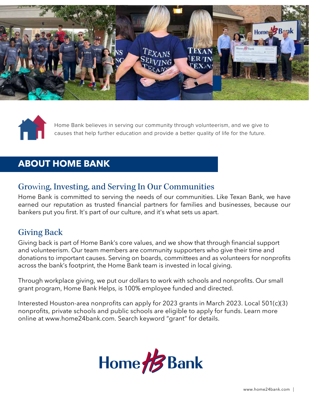



Home Bank believes in serving our community through volunteerism, and we give to causes that help further education and provide a better quality of life for the future.

## **ABOUT HOME BANK**

## Growing, Investing, and Serving In Our Communities

Home Bank is committed to serving the needs of our communities. Like Texan Bank, we have earned our reputation as trusted financial partners for families and businesses, because our bankers put you first. It's part of our culture, and it's what sets us apart.

## Giving Back

Giving back is part of Home Bank's core values, and we show that through financial support and volunteerism. Our team members are community supporters who give their time and donations to important causes. Serving on boards, committees and as volunteers for nonprofits across the bank's footprint, the Home Bank team is invested in local giving.

Through workplace giving, we put our dollars to work with schools and nonprofits. Our small grant program, Home Bank Helps, is 100% employee funded and directed.

Interested Houston-area nonprofits can apply for 2023 grants in March 2023. Local 501(c)(3) nonprofits, private schools and public schools are eligible to apply for funds. Learn more online at www.home24bank.com. Search keyword "grant" for details.